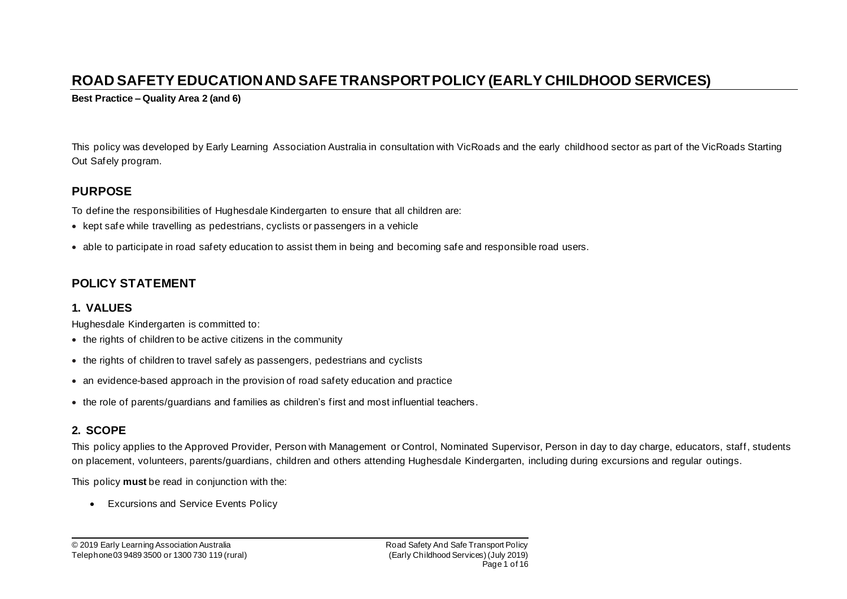# **ROAD SAFETY EDUCATION AND SAFE TRANSPORT POLICY (EARLY CHILDHOOD SERVICES)**

**Best Practice – Quality Area 2 (and 6)**

This policy was developed by Early Learning Association Australia in consultation with VicRoads and the early childhood sector as part of the VicRoads Starting Out Safely program.

## **PURPOSE**

To define the responsibilities of Hughesdale Kindergarten to ensure that all children are:

- kept safe while travelling as pedestrians, cyclists or passengers in a vehicle
- able to participate in road safety education to assist them in being and becoming safe and responsible road users.

# **POLICY STATEMENT**

## **1. VALUES**

Hughesdale Kindergarten is committed to:

- the rights of children to be active citizens in the community
- the rights of children to travel safely as passengers, pedestrians and cyclists
- an evidence-based approach in the provision of road safety education and practice
- the role of parents/guardians and families as children's first and most influential teachers.

## **2. SCOPE**

This policy applies to the Approved Provider, Person with Management or Control, Nominated Supervisor, Person in day to day charge, educators, staff, students on placement, volunteers, parents/guardians, children and others attending Hughesdale Kindergarten, including during excursions and regular outings.

This policy **must** be read in conjunction with the:

• Excursions and Service Events Policy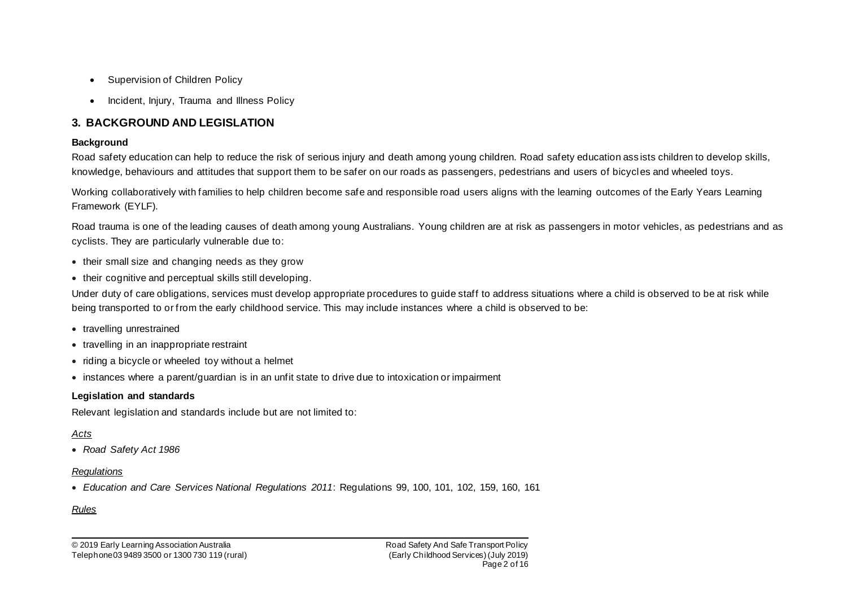- Supervision of Children Policy
- Incident, Injury, Trauma and Illness Policy

### **3. BACKGROUND AND LEGISLATION**

### **Background**

Road safety education can help to reduce the risk of serious injury and death among young children. Road safety education ass ists children to develop skills, knowledge, behaviours and attitudes that support them to be safer on our roads as passengers, pedestrians and users of bicycles and wheeled toys.

Working collaboratively with families to help children become safe and responsible road users aligns with the learning outcomes of the Early Years Learning Framework (EYLF).

Road trauma is one of the leading causes of death among young Australians. Young children are at risk as passengers in motor vehicles, as pedestrians and as cyclists. They are particularly vulnerable due to:

- their small size and changing needs as they grow
- their cognitive and perceptual skills still developing.

Under duty of care obligations, services must develop appropriate procedures to guide staff to address situations where a child is observed to be at risk while being transported to or from the early childhood service. This may include instances where a child is observed to be:

- travelling unrestrained
- travelling in an inappropriate restraint
- riding a bicycle or wheeled toy without a helmet
- instances where a parent/guardian is in an unfit state to drive due to intoxication or impairment

### **Legislation and standards**

Relevant legislation and standards include but are not limited to:

### *Acts*

• *Road Safety Act 1986*

#### *Regulations*

• *Education and Care Services National Regulations 2011*: Regulations 99, 100, 101, 102, 159, 160, 161

### *Rules*

© 2019 Early Learning Association Australia Telephone 03 9489 3500 or 1300 730 119 (rural) Road Safety And Safe Transport Policy (Early Childhood Services)(July 2019) Page 2 of 16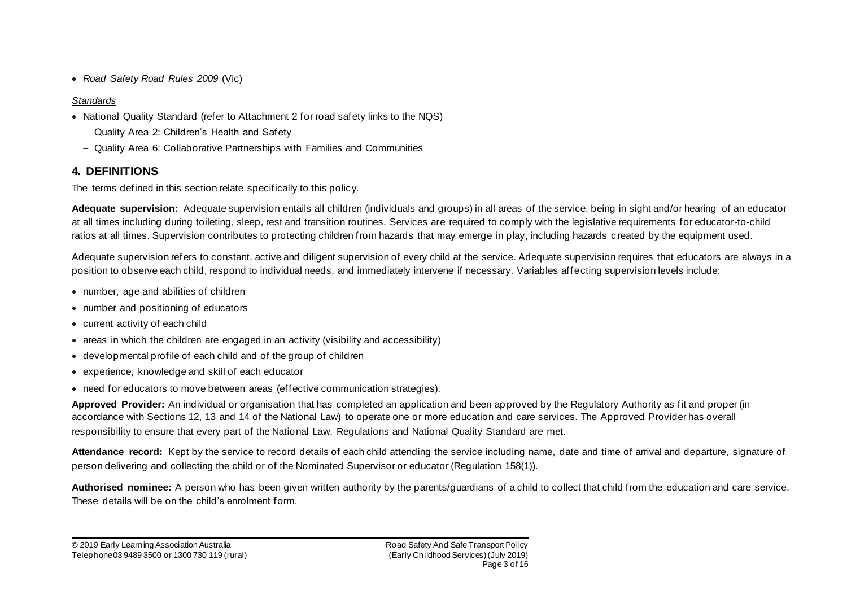• *Road Safety Road Rules 2009* (Vic)

### *Standards*

- National Quality Standard (refer to Attachment 2 for road safety links to the NQS)
	- − Quality Area 2: Children's Health and Safety
	- − Quality Area 6: Collaborative Partnerships with Families and Communities

## **4. DEFINITIONS**

The terms defined in this section relate specifically to this policy.

**Adequate supervision:** Adequate supervision entails all children (individuals and groups) in all areas of the service, being in sight and/or hearing of an educator at all times including during toileting, sleep, rest and transition routines. Services are required to comply with the legislative requirements for educator-to-child ratios at all times. Supervision contributes to protecting children from hazards that may emerge in play, including hazards c reated by the equipment used.

Adequate supervision refers to constant, active and diligent supervision of every child at the service. Adequate supervision requires that educators are always in a position to observe each child, respond to individual needs, and immediately intervene if necessary. Variables affecting supervision levels include:

- number, age and abilities of children
- number and positioning of educators
- current activity of each child
- areas in which the children are engaged in an activity (visibility and accessibility)
- developmental profile of each child and of the group of children
- experience, knowledge and skill of each educator
- need for educators to move between areas (effective communication strategies).

**Approved Provider:** An individual or organisation that has completed an application and been approved by the Regulatory Authority as fit and proper (in accordance with Sections 12, 13 and 14 of the National Law) to operate one or more education and care services. The Approved Provider has overall responsibility to ensure that every part of the National Law, Regulations and National Quality Standard are met.

**Attendance record:** Kept by the service to record details of each child attending the service including name, date and time of arrival and departure, signature of person delivering and collecting the child or of the Nominated Supervisor or educator (Regulation 158(1)).

**Authorised nominee:** A person who has been given written authority by the parents/guardians of a child to collect that child from the education and care service. These details will be on the child's enrolment form.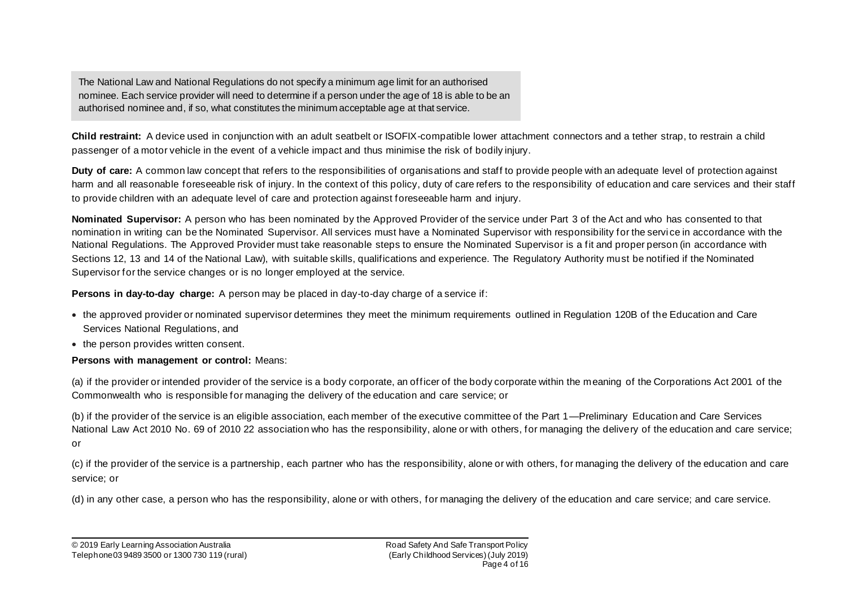The National Law and National Regulations do not specify a minimum age limit for an authorised nominee. Each service provider will need to determine if a person under the age of 18 is able to be an authorised nominee and, if so, what constitutes the minimum acceptable age at that service.

**Child restraint:** A device used in conjunction with an adult seatbelt or ISOFIX-compatible lower attachment connectors and a tether strap, to restrain a child passenger of a motor vehicle in the event of a vehicle impact and thus minimise the risk of bodily injury.

**Duty of care:** A common law concept that refers to the responsibilities of organisations and staff to provide people with an adequate level of protection against harm and all reasonable foreseeable risk of injury. In the context of this policy, duty of care refers to the responsibility of education and care services and their staff to provide children with an adequate level of care and protection against foreseeable harm and injury.

**Nominated Supervisor:** A person who has been nominated by the Approved Provider of the service under Part 3 of the Act and who has consented to that nomination in writing can be the Nominated Supervisor. All services must have a Nominated Supervisor with responsibility for the servi ce in accordance with the National Regulations. The Approved Provider must take reasonable steps to ensure the Nominated Supervisor is a fit and proper person (in accordance with Sections 12, 13 and 14 of the National Law), with suitable skills, qualifications and experience. The Regulatory Authority must be notified if the Nominated Supervisor for the service changes or is no longer employed at the service.

**Persons in day-to-day charge:** A person may be placed in day-to-day charge of a service if:

- the approved provider or nominated supervisor determines they meet the minimum requirements outlined in Regulation 120B of the Education and Care Services National Regulations, and
- the person provides written consent.

### **Persons with management or control:** Means:

(a) if the provider or intended provider of the service is a body corporate, an officer of the body corporate within the meaning of the Corporations Act 2001 of the Commonwealth who is responsible for managing the delivery of the education and care service; or

(b) if the provider of the service is an eligible association, each member of the executive committee of the Part 1—Preliminary Education and Care Services National Law Act 2010 No. 69 of 2010 22 association who has the responsibility, alone or with others, for managing the delivery of the education and care service; or

(c) if the provider of the service is a partnership, each partner who has the responsibility, alone or with others, for managing the delivery of the education and care service; or

(d) in any other case, a person who has the responsibility, alone or with others, for managing the delivery of the education and care service; and care service.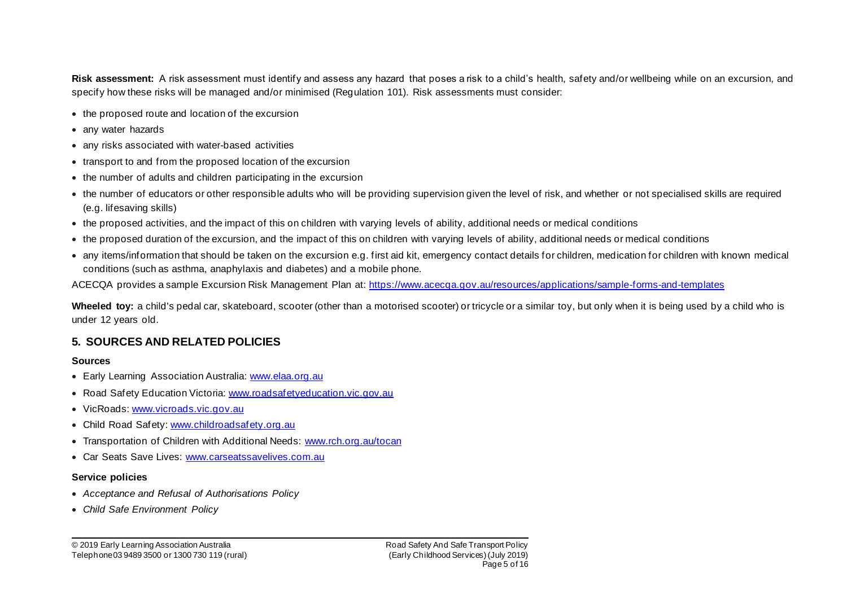**Risk assessment:** A risk assessment must identify and assess any hazard that poses a risk to a child's health, safety and/or wellbeing while on an excursion, and specify how these risks will be managed and/or minimised (Regulation 101). Risk assessments must consider:

- the proposed route and location of the excursion
- any water hazards
- any risks associated with water-based activities
- transport to and from the proposed location of the excursion
- the number of adults and children participating in the excursion
- the number of educators or other responsible adults who will be providing supervision given the level of risk, and whether or not specialised skills are required (e.g. lifesaving skills)
- the proposed activities, and the impact of this on children with varying levels of ability, additional needs or medical conditions
- the proposed duration of the excursion, and the impact of this on children with varying levels of ability, additional needs or medical conditions
- any items/information that should be taken on the excursion e.g. first aid kit, emergency contact details for children, medication for children with known medical conditions (such as asthma, anaphylaxis and diabetes) and a mobile phone.

ACECQA provides a sample Excursion Risk Management Plan at: https://www.acecqa.gov.au/resources/applications/sample-forms-and-templates

**Wheeled toy:** a child's pedal car, skateboard, scooter (other than a motorised scooter) or tricycle or a similar toy, but only when it is being used by a child who is under 12 years old.

### **5. SOURCES AND RELATED POLICIES**

#### **Sources**

- Early Learning Association Australia: www.elaa.org.au
- Road Safety Education Victoria: www.roadsafetyeducation.vic.gov.au
- VicRoads: www.vicroads.vic.gov.au
- Child Road Safety: www.childroadsafety.org.au
- Transportation of Children with Additional Needs: www.rch.org.au/tocan
- Car Seats Save Lives: www.carseatssavelives.com.au

#### **Service policies**

- *Acceptance and Refusal of Authorisations Policy*
- *Child Safe Environment Policy*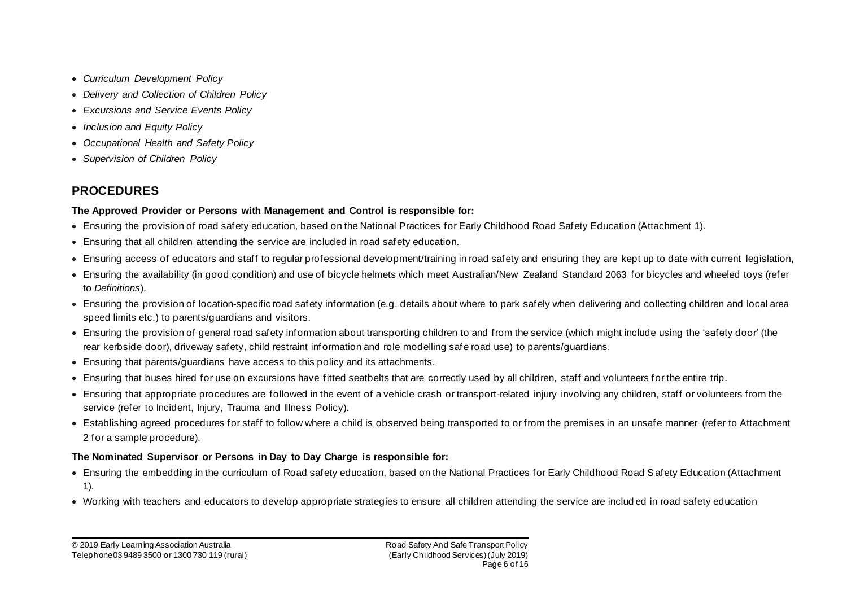- *Curriculum Development Policy*
- *Delivery and Collection of Children Policy*
- *Excursions and Service Events Policy*
- *Inclusion and Equity Policy*
- *Occupational Health and Safety Policy*
- *Supervision of Children Policy*

# **PROCEDURES**

### **The Approved Provider or Persons with Management and Control is responsible for:**

- Ensuring the provision of road safety education, based on the National Practices for Early Childhood Road Safety Education (Attachment 1).
- Ensuring that all children attending the service are included in road safety education.
- Ensuring access of educators and staff to regular professional development/training in road safety and ensuring they are kept up to date with current legislation,
- Ensuring the availability (in good condition) and use of bicycle helmets which meet Australian/New Zealand Standard 2063 for bicycles and wheeled toys (refer to *Definitions*).
- Ensuring the provision of location-specific road safety information (e.g. details about where to park safely when delivering and collecting children and local area speed limits etc.) to parents/guardians and visitors.
- Ensuring the provision of general road safety information about transporting children to and from the service (which might include using the 'safety door' (the rear kerbside door), driveway safety, child restraint information and role modelling safe road use) to parents/guardians.
- Ensuring that parents/guardians have access to this policy and its attachments.
- Ensuring that buses hired for use on excursions have fitted seatbelts that are correctly used by all children, staff and volunteers for the entire trip.
- Ensuring that appropriate procedures are followed in the event of a vehicle crash or transport-related injury involving any children, staff or volunteers from the service (refer to Incident, Injury, Trauma and Illness Policy).
- Establishing agreed procedures for staff to follow where a child is observed being transported to or from the premises in an unsafe manner (refer to Attachment 2 for a sample procedure).

### **The Nominated Supervisor or Persons in Day to Day Charge is responsible for:**

- Ensuring the embedding in the curriculum of Road safety education, based on the National Practices for Early Childhood Road Safety Education (Attachment 1).
- Working with teachers and educators to develop appropriate strategies to ensure all children attending the service are includ ed in road safety education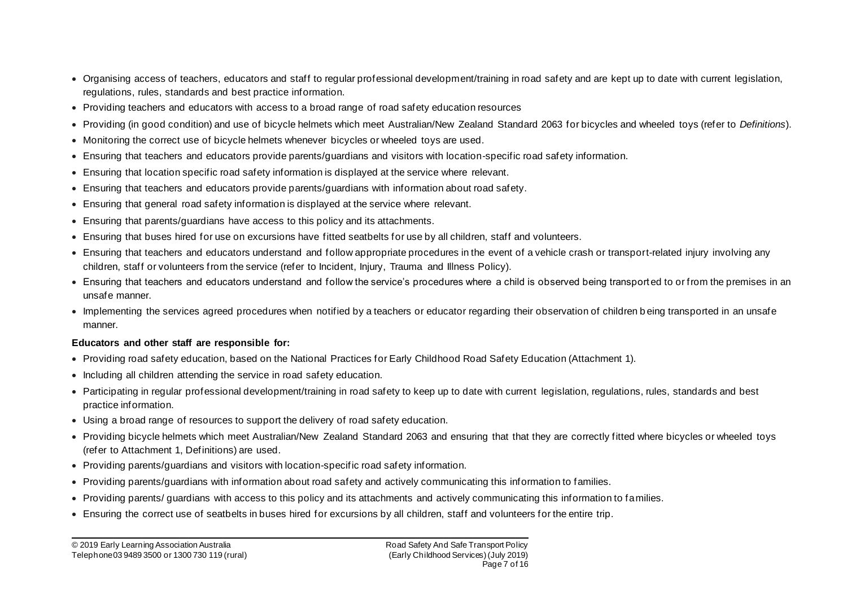- Organising access of teachers, educators and staff to regular professional development/training in road safety and are kept up to date with current legislation, regulations, rules, standards and best practice information.
- Providing teachers and educators with access to a broad range of road safety education resources
- Providing (in good condition) and use of bicycle helmets which meet Australian/New Zealand Standard 2063 for bicycles and wheeled toys (refer to *Definitions*).
- Monitoring the correct use of bicycle helmets whenever bicycles or wheeled toys are used.
- Ensuring that teachers and educators provide parents/guardians and visitors with location-specific road safety information.
- Ensuring that location specific road safety information is displayed at the service where relevant.
- Ensuring that teachers and educators provide parents/guardians with information about road safety.
- Ensuring that general road safety information is displayed at the service where relevant.
- Ensuring that parents/guardians have access to this policy and its attachments.
- Ensuring that buses hired for use on excursions have fitted seatbelts for use by all children, staff and volunteers.
- Ensuring that teachers and educators understand and follow appropriate procedures in the event of a vehicle crash or transport-related injury involving any children, staff or volunteers from the service (refer to Incident, Injury, Trauma and Illness Policy).
- Ensuring that teachers and educators understand and follow the service's procedures where a child is observed being transport ed to or from the premises in an unsafe manner.
- Implementing the services agreed procedures when notified by a teachers or educator regarding their observation of children b eing transported in an unsafe manner.

### **Educators and other staff are responsible for:**

- Providing road safety education, based on the National Practices for Early Childhood Road Safety Education (Attachment 1).
- Including all children attending the service in road safety education.
- Participating in regular professional development/training in road safety to keep up to date with current legislation, regulations, rules, standards and best practice information.
- Using a broad range of resources to support the delivery of road safety education.
- Providing bicycle helmets which meet Australian/New Zealand Standard 2063 and ensuring that that they are correctly fitted where bicycles or wheeled toys (refer to Attachment 1, Definitions) are used.
- Providing parents/guardians and visitors with location-specific road safety information.
- Providing parents/guardians with information about road safety and actively communicating this information to families.
- Providing parents/ guardians with access to this policy and its attachments and actively communicating this information to families.
- Ensuring the correct use of seatbelts in buses hired for excursions by all children, staff and volunteers for the entire trip.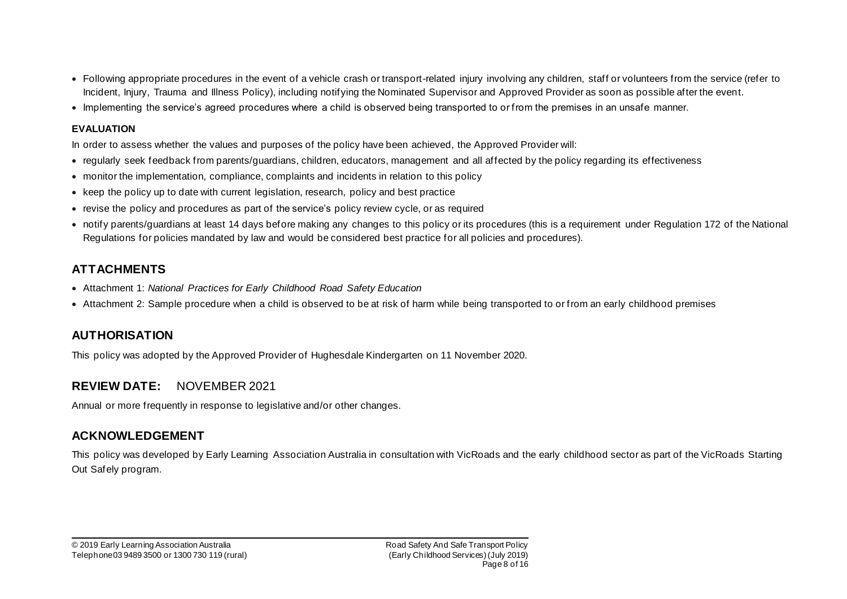- Following appropriate procedures in the event of a vehicle crash or transport-related injury involving any children, staff or volunteers from the service (refer to Incident, Injury, Trauma and Illness Policy), including notifying the Nominated Supervisor and Approved Provider as soon as possible after the event.
- Implementing the service's agreed procedures where a child is observed being transported to or from the premises in an unsafe manner.

### **EVALUATION**

In order to assess whether the values and purposes of the policy have been achieved, the Approved Provider will:

- regularly seek feedback from parents/guardians, children, educators, management and all affected by the policy regarding its effectiveness
- monitor the implementation, compliance, complaints and incidents in relation to this policy
- keep the policy up to date with current legislation, research, policy and best practice
- revise the policy and procedures as part of the service's policy review cycle, or as required
- notify parents/guardians at least 14 days before making any changes to this policy or its procedures (this is a requirement under Regulation 172 of the National Regulations for policies mandated by law and would be considered best practice for all policies and procedures).

## **ATTACHMENTS**

- Attachment 1: *National Practices for Early Childhood Road Safety Education*
- Attachment 2: Sample procedure when a child is observed to be at risk of harm while being transported to or from an early childhood premises

## **AUTHORISATION**

This policy was adopted by the Approved Provider of Hughesdale Kindergarten on 11 November 2020.

## **REVIEW DATE:** NOVEMBER 2021

Annual or more frequently in response to legislative and/or other changes.

## **ACKNOWLEDGEMENT**

This policy was developed by Early Learning Association Australia in consultation with VicRoads and the early childhood sector as part of the VicRoads Starting Out Safely program.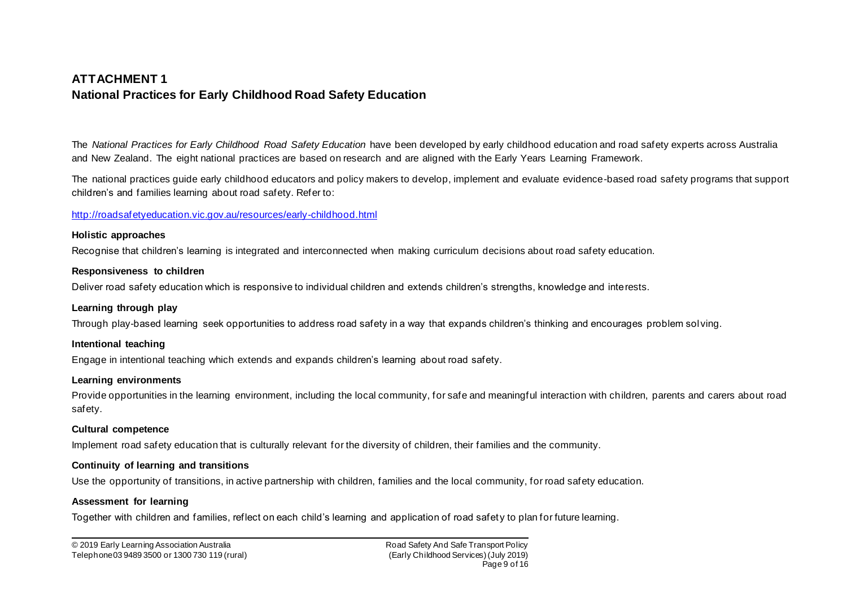## **ATTACHMENT 1 National Practices for Early Childhood Road Safety Education**

The *National Practices for Early Childhood Road Safety Education* have been developed by early childhood education and road safety experts across Australia and New Zealand. The eight national practices are based on research and are aligned with the Early Years Learning Framework.

The national practices guide early childhood educators and policy makers to develop, implement and evaluate evidence-based road safety programs that support children's and families learning about road safety. Refer to:

#### http://roadsafetyeducation.vic.gov.au/resources/early-childhood.html

#### **Holistic approaches**

Recognise that children's learning is integrated and interconnected when making curriculum decisions about road safety education.

#### **Responsiveness to children**

Deliver road safety education which is responsive to individual children and extends children's strengths, knowledge and interests.

#### **Learning through play**

Through play-based learning seek opportunities to address road safety in a way that expands children's thinking and encourages problem solving.

#### **Intentional teaching**

Engage in intentional teaching which extends and expands children's learning about road safety.

#### **Learning environments**

Provide opportunities in the learning environment, including the local community, for safe and meaningful interaction with children, parents and carers about road safety.

#### **Cultural competence**

Implement road safety education that is culturally relevant for the diversity of children, their families and the community.

#### **Continuity of learning and transitions**

Use the opportunity of transitions, in active partnership with children, families and the local community, for road safety education.

#### **Assessment for learning**

Together with children and families, reflect on each child's learning and application of road safety to plan for future learning.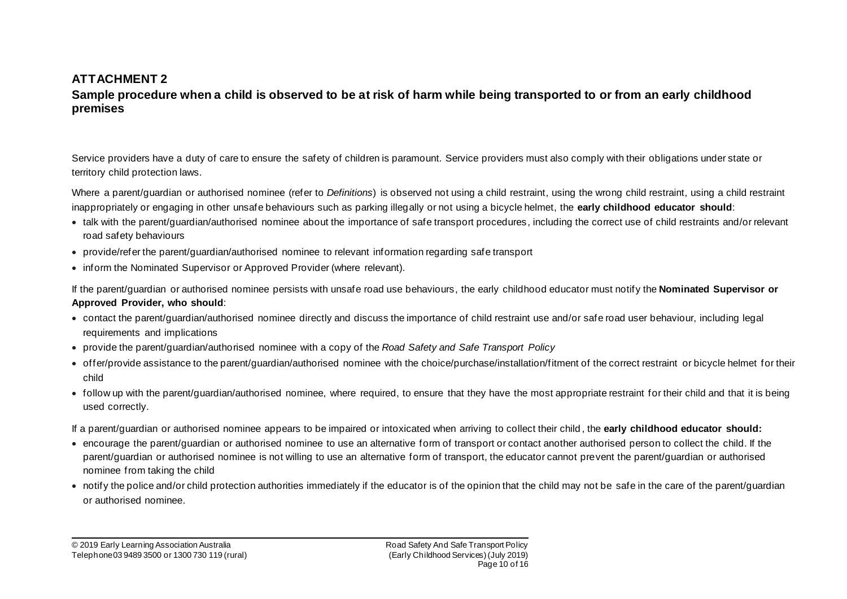## **ATTACHMENT 2**

### **Sample procedure when a child is observed to be at risk of harm while being transported to or from an early childhood premises**

Service providers have a duty of care to ensure the safety of children is paramount. Service providers must also comply with their obligations under state or territory child protection laws.

Where a parent/guardian or authorised nominee (refer to *Definitions*) is observed not using a child restraint, using the wrong child restraint, using a child restraint inappropriately or engaging in other unsafe behaviours such as parking illegally or not using a bicycle helmet, the **early childhood educator should**:

- talk with the parent/guardian/authorised nominee about the importance of safe transport procedures, including the correct use of child restraints and/or relevant road safety behaviours
- provide/refer the parent/guardian/authorised nominee to relevant information regarding safe transport
- inform the Nominated Supervisor or Approved Provider (where relevant).

If the parent/guardian or authorised nominee persists with unsafe road use behaviours, the early childhood educator must notify the **Nominated Supervisor or Approved Provider, who should**:

- contact the parent/guardian/authorised nominee directly and discuss the importance of child restraint use and/or safe road user behaviour, including legal requirements and implications
- provide the parent/guardian/authorised nominee with a copy of the *Road Safety and Safe Transport Policy*
- offer/provide assistance to the parent/guardian/authorised nominee with the choice/purchase/installation/fitment of the correct restraint or bicycle helmet for their child
- follow up with the parent/guardian/authorised nominee, where required, to ensure that they have the most appropriate restraint for their child and that it is being used correctly.

If a parent/guardian or authorised nominee appears to be impaired or intoxicated when arriving to collect their child , the **early childhood educator should:**

- encourage the parent/guardian or authorised nominee to use an alternative form of transport or contact another authorised person to collect the child. If the parent/guardian or authorised nominee is not willing to use an alternative form of transport, the educator cannot prevent the parent/guardian or authorised nominee from taking the child
- notify the police and/or child protection authorities immediately if the educator is of the opinion that the child may not be safe in the care of the parent/guardian or authorised nominee.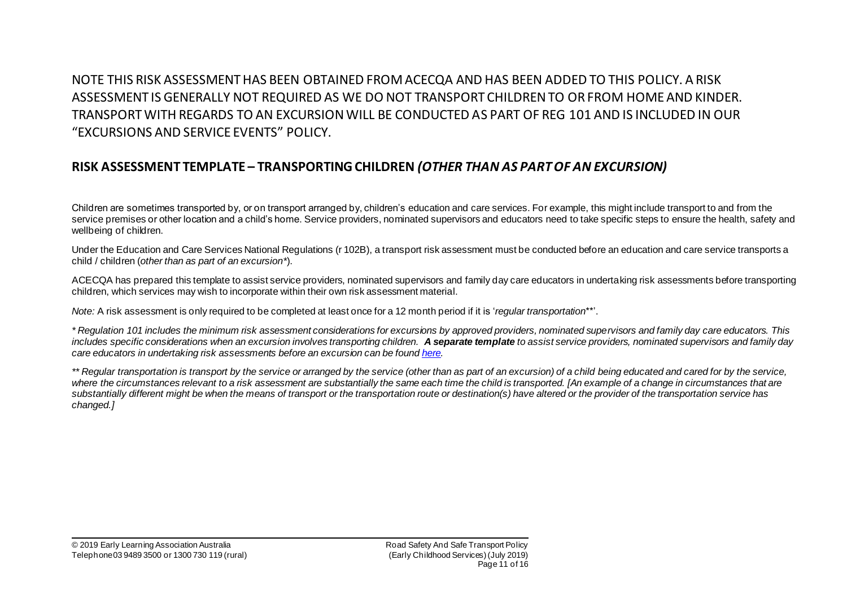NOTE THIS RISK ASSESSMENT HAS BEEN OBTAINED FROM ACECQA AND HAS BEEN ADDED TO THIS POLICY. A RISK ASSESSMENT IS GENERALLY NOT REQUIRED AS WE DO NOT TRANSPORT CHILDREN TO OR FROM HOME AND KINDER. TRANSPORT WITH REGARDS TO AN EXCURSION WILL BE CONDUCTED AS PART OF REG 101 AND IS INCLUDED IN OUR "EXCURSIONS AND SERVICE EVENTS" POLICY.

## **RISK ASSESSMENT TEMPLATE – TRANSPORTING CHILDREN** *(OTHER THAN AS PART OF AN EXCURSION)*

Children are sometimes transported by, or on transport arranged by, children's education and care services. For example, this might include transport to and from the service premises or other location and a child's home. Service providers, nominated supervisors and educators need to take specific steps to ensure the health, safety and wellbeing of children.

Under the Education and Care Services National Regulations (r 102B), a transport risk assessment must be conducted before an education and care service transports a child / children (*other than as part of an excursion\**).

ACECQA has prepared this template to assist service providers, nominated supervisors and family day care educators in undertaking risk assessments before transporting children, which services may wish to incorporate within their own risk assessment material.

*Note:* A risk assessment is only required to be completed at least once for a 12 month period if it is '*regular transportation*\*\*'.

*\* Regulation 101 includes the minimum risk assessment considerations for excursions by approved providers, nominated supervisors and family day care educators. This*  includes specific considerations when an excursion involves transporting children. A separate template to assist service providers, nominated supervisors and family day *care educators in undertaking risk assessments before an excursion can be found here.*

\*\* Regular transportation is transport by the service or arranged by the service (other than as part of an excursion) of a child being educated and cared for by the service, where the circumstances relevant to a risk assessment are substantially the same each time the child is transported. [An example of a change in circumstances that are *substantially different might be when the means of transport or the transportation route or destination(s) have altered or the provider of the transportation service has changed.]*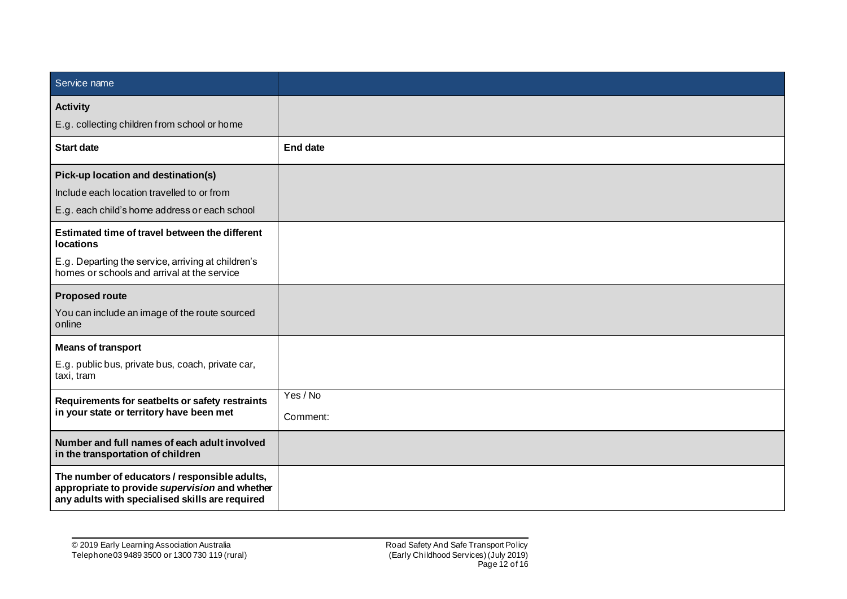| Service name                                                                                                                                       |                 |
|----------------------------------------------------------------------------------------------------------------------------------------------------|-----------------|
| <b>Activity</b>                                                                                                                                    |                 |
| E.g. collecting children from school or home                                                                                                       |                 |
| <b>Start date</b>                                                                                                                                  | <b>End date</b> |
| Pick-up location and destination(s)                                                                                                                |                 |
| Include each location travelled to or from                                                                                                         |                 |
| E.g. each child's home address or each school                                                                                                      |                 |
| Estimated time of travel between the different<br><b>locations</b>                                                                                 |                 |
| E.g. Departing the service, arriving at children's<br>homes or schools and arrival at the service                                                  |                 |
| <b>Proposed route</b>                                                                                                                              |                 |
| You can include an image of the route sourced<br>online                                                                                            |                 |
| <b>Means of transport</b>                                                                                                                          |                 |
| E.g. public bus, private bus, coach, private car,<br>taxi, tram                                                                                    |                 |
| Requirements for seatbelts or safety restraints<br>in your state or territory have been met                                                        | Yes / No        |
|                                                                                                                                                    | Comment:        |
| Number and full names of each adult involved<br>in the transportation of children                                                                  |                 |
| The number of educators / responsible adults,<br>appropriate to provide supervision and whether<br>any adults with specialised skills are required |                 |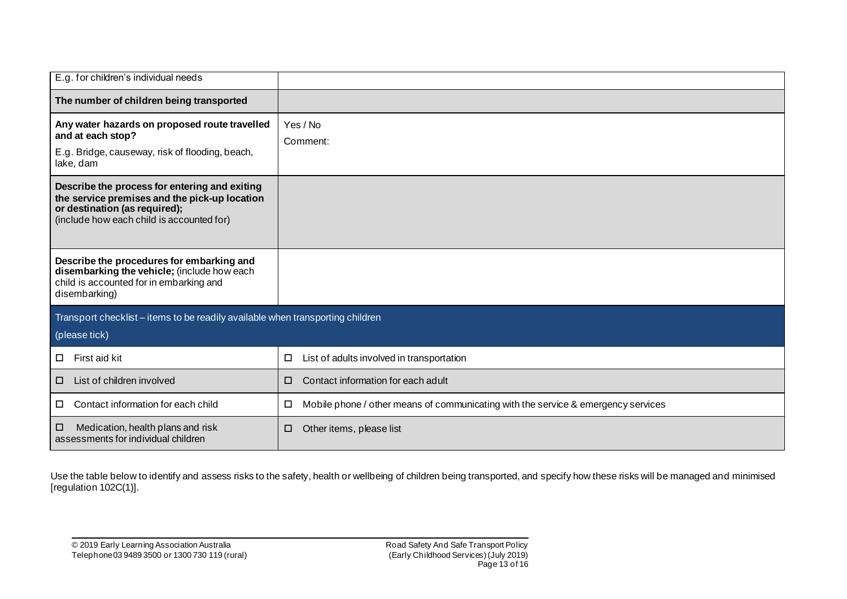| E.g. for children's individual needs                                                                                                                                         |                                                                                        |  |
|------------------------------------------------------------------------------------------------------------------------------------------------------------------------------|----------------------------------------------------------------------------------------|--|
| The number of children being transported                                                                                                                                     |                                                                                        |  |
| Any water hazards on proposed route travelled<br>and at each stop?<br>E.g. Bridge, causeway, risk of flooding, beach,<br>lake, dam                                           | Yes / No<br>Comment:                                                                   |  |
| Describe the process for entering and exiting<br>the service premises and the pick-up location<br>or destination (as required);<br>(include how each child is accounted for) |                                                                                        |  |
| Describe the procedures for embarking and<br>disembarking the vehicle; (include how each<br>child is accounted for in embarking and<br>disembarking)                         |                                                                                        |  |
| Transport checklist - items to be readily available when transporting children<br>(please tick)                                                                              |                                                                                        |  |
| First aid kit<br>$\Box$                                                                                                                                                      | List of adults involved in transportation<br>□                                         |  |
| List of children involved<br>□                                                                                                                                               | Contact information for each adult<br>□                                                |  |
| Contact information for each child<br>□.                                                                                                                                     | Mobile phone / other means of communicating with the service & emergency services<br>□ |  |
| Medication, health plans and risk<br>◻<br>assessments for individual children                                                                                                | Other items, please list<br>◻                                                          |  |

Use the table below to identify and assess risks to the safety, health or wellbeing of children being transported, and specify how these risks will be managed and minimised [regulation 102C(1)].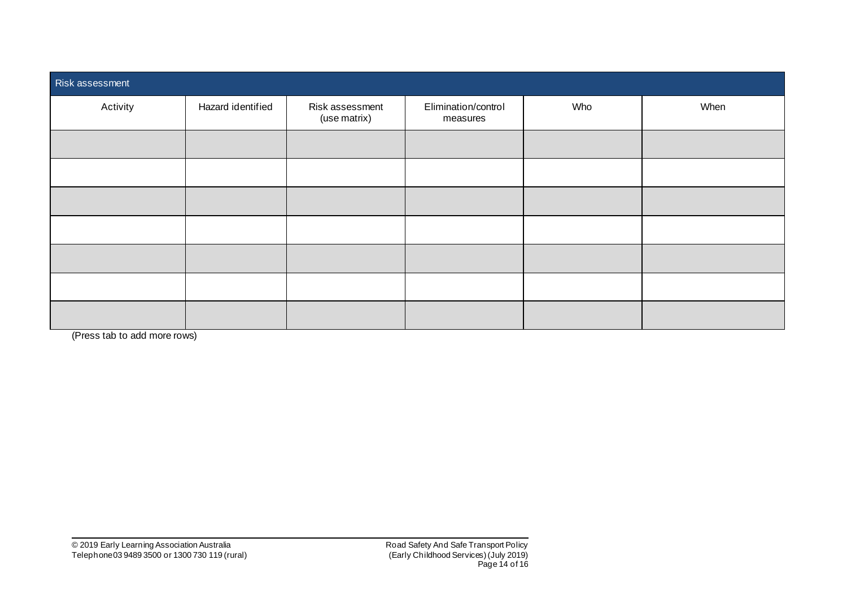| Risk assessment |                   |                                 |                                 |     |      |
|-----------------|-------------------|---------------------------------|---------------------------------|-----|------|
| Activity        | Hazard identified | Risk assessment<br>(use matrix) | Elimination/control<br>measures | Who | When |
|                 |                   |                                 |                                 |     |      |
|                 |                   |                                 |                                 |     |      |
|                 |                   |                                 |                                 |     |      |
|                 |                   |                                 |                                 |     |      |
|                 |                   |                                 |                                 |     |      |
|                 |                   |                                 |                                 |     |      |
|                 |                   |                                 |                                 |     |      |

(Press tab to add more rows)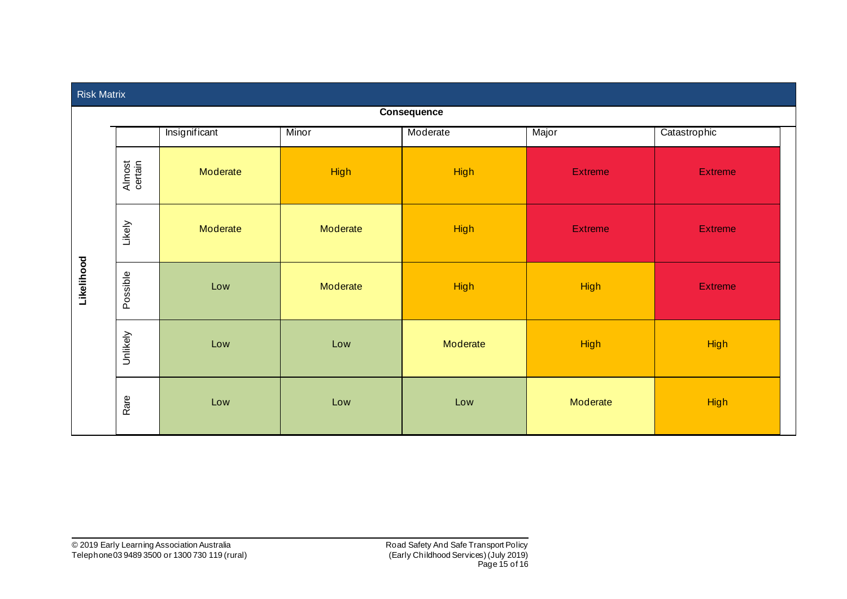| <b>Risk Matrix</b> |                   |               |             |             |                |                |  |
|--------------------|-------------------|---------------|-------------|-------------|----------------|----------------|--|
|                    | Consequence       |               |             |             |                |                |  |
|                    |                   | Insignificant | Minor       | Moderate    | Major          | Catastrophic   |  |
| Likelihood         | Almost<br>certain | Moderate      | <b>High</b> | <b>High</b> | <b>Extreme</b> | Extreme        |  |
|                    | Likely            | Moderate      | Moderate    | High        | <b>Extreme</b> | <b>Extreme</b> |  |
|                    | Possible          | Low           | Moderate    | High        | <b>High</b>    | <b>Extreme</b> |  |
|                    | Unlikely          | Low           | Low         | Moderate    | <b>High</b>    | <b>High</b>    |  |
|                    | Rare              | Low           | Low         | Low         | Moderate       | <b>High</b>    |  |